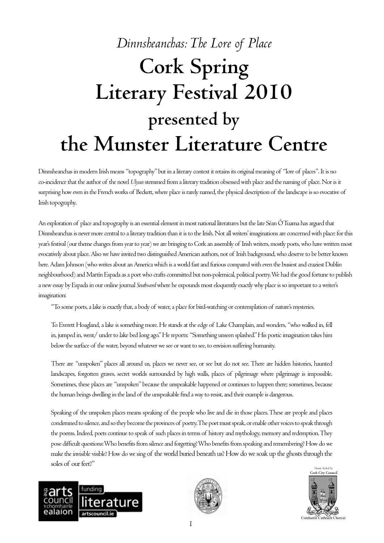*Dinnsheanchas: The Lore of Place*

# **Cork Spring Literary Festival 2010 presented by the Munster Literature Centre**

Dinnsheanchas in modern Irish means "topography" but in a literary context it retains its original meaning of "lore of places". It is no co-incidence that the author of the novel *Ulysses* stemmed from a literary tradition obsessed with place and the naming of place. Nor is it surprising how even in the French works of Beckett, where place is rarely named, the physical description of the landscape is so evocative of Irish topography.

An exploration of place and topography is an essential element in most national literatures but the late Séan Ó Tuama has argued that Dinnsheanchas is never more central to a literary tradition than it is to the Irish. Not all writers' imaginations are concerned with place: for this year's festival (our theme changes from year to year) we are bringing to Cork an assembly of Irish writers, mostly poets, who have written most evocatively about place. Also we have invited two distinguished American authors, not of Irish background, who deserve to be better known here. Adam Johnson (who writes about an America which is a world fast and furious compared with even the busiest and craziest Dublin neighbourhood) and Martín Espada as a poet who crafts committed but non-polemical, political poetry. We had the good fortune to publish a new essay by Espada in our online journal *Southword* where he expounds most eloquently exactly why place is so important to a writer's imagination:

"To some poets, a lake is exactly that, a body of water, a place for bird-watching or contemplation of nature's mysteries.

To Everett Hoagland, a lake is something more. He stands at the edge of Lake Champlain, and wonders, "who walked in, fell in, jumped in, went/ under to lake bed long ago." He reports: "Something unseen splashed." His poetic imagination takes him below the surface of the water, beyond whatever we see or want to see, to envision suffering humanity.

There are "unspoken" places all around us, places we never see, or see but do not see. There are hidden histories, haunted landscapes, forgotten graves, secret worlds surrounded by high walls, places of pilgrimage where pilgrimage is impossible. Sometimes, these places are "unspoken" because the unspeakable happened or continues to happen there; sometimes, because the human beings dwelling in the land of the unspeakable find a way to resist, and their example is dangerous.

Speaking of the unspoken places means speaking of the people who live and die in those places. These are people and places condemned to silence, and so they become the provinces of poetry. The poet must speak, or enable other voices to speak through the poems. Indeed, poets continue to speak of such places in terms of history and mythology, memory and redemption. They pose difficult questions: Who benefits from silence and forgetting? Who benefits from speaking and remembering? How do we make the invisible visible? How do we sing of the world buried beneath us? How do we soak up the ghosts through the soles of our feet?" Grant Aided by





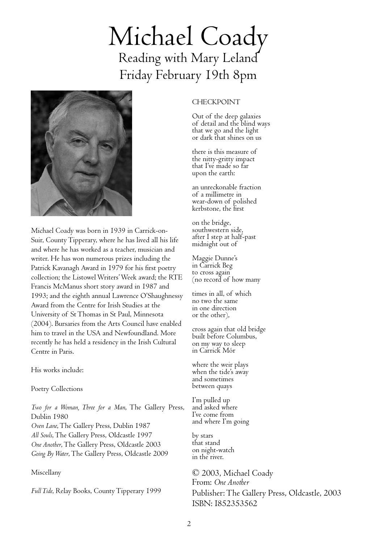### Michael Coady Reading with Mary Leland Friday February 19th 8pm



Michael Coady was born in 1939 in Carrick-on-Suir, County Tipperary, where he has lived all his life and where he has worked as a teacher, musician and writer. He has won numerous prizes including the Patrick Kavanagh Award in 1979 for his first poetry collection; the Listowel Writers' Week award; the RTE Francis McManus short story award in 1987 and 1993; and the eighth annual Lawrence O'Shaughnessy Award from the Centre for Irish Studies at the University of St Thomas in St Paul, Minnesota (2004). Bursaries from the Arts Council have enabled him to travel in the USA and Newfoundland. More recently he has held a residency in the Irish Cultural Centre in Paris.

His works include:

Poetry Collections

*Two for a Woman, Three for a Man*, The Gallery Press, Dublin 1980

*Oven Lane*, The Gallery Press, Dublin 1987 *All Souls*, The Gallery Press, Oldcastle 1997 *One Another*, The Gallery Press, Oldcastle 2003 *Going By Water*, The Gallery Press, Oldcastle 2009

#### Miscellany

*Full Tide*, Relay Books, County Tipperary 1999

#### CHECKPOINT

Out of the deep galaxies of detail and the blind ways that we go and the light or dark that shines on us

there is this measure of the nitty-gritty impact that I've made so far upon the earth:

an unreckonable fraction of a millimetre in wear-down of polished kerbstone, the first

on the bridge, southwestern side, after I step at half-past midnight out of

Maggie Dunne's in Carrick Beg to cross again (no record of how many

times in all, of which no two the same in one direction or the other),

cross again that old bridge built before Columbus, on my way to sleep in Carrick Mór

where the weir plays when the tide's away and sometimes between quays

I'm pulled up and asked where I've come from and where I'm going

by stars that stand on night-watch in the river.

© 2003, Michael Coady From: *One Another* Publisher: The Gallery Press, Oldcastle, 2003 ISBN: I852353562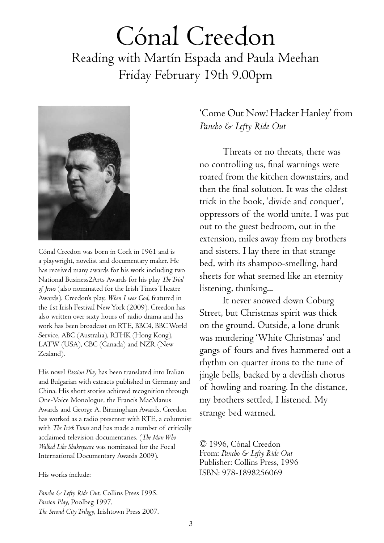### Cónal Creedon Reading with Martín Espada and Paula Meehan Friday February 19th 9.00pm



Cónal Creedon was born in Cork in 1961 and is a playwright, novelist and documentary maker. He has received many awards for his work including two National Business2Arts Awards for his play *The Trial of Jesus* (also nominated for the Irish Times Theatre Awards). Creedon's play, *When I was God*, featured in the 1st Irish Festival New York (2009). Creedon has also written over sixty hours of radio drama and his work has been broadcast on RTE, BBC4, BBC World Service, ABC (Australia), RTHK (Hong Kong), LATW (USA), CBC (Canada) and NZR (New Zealand).

His novel *Passion Play* has been translated into Italian and Bulgarian with extracts published in Germany and China. His short stories achieved recognition through One-Voice Monologue, the Francis MacManus Awards and George A. Birmingham Awards. Creedon has worked as a radio presenter with RTE, a columnist with *The Irish Times* and has made a number of critically acclaimed television documentaries. (*The Man Who Walked Like Shakespeare* was nominated for the Focal International Documentary Awards 2009).

His works include:

*Pancho & Lefty Ride Out*, Collins Press 1995. *Passion Play*, Poolbeg 1997. *The Second City Trilogy*, Irishtown Press 2007. 'Come Out Now! Hacker Hanley' from *Pancho & Lefty Ride Out*

Threats or no threats, there was no controlling us, final warnings were roared from the kitchen downstairs, and then the final solution. It was the oldest trick in the book, 'divide and conquer', oppressors of the world unite. I was put out to the guest bedroom, out in the extension, miles away from my brothers and sisters. I lay there in that strange bed, with its shampoo-smelling, hard sheets for what seemed like an eternity listening, thinking...

It never snowed down Coburg Street, but Christmas spirit was thick on the ground. Outside, a lone drunk was murdering 'White Christmas' and gangs of fours and fives hammered out a rhythm on quarter irons to the tune of jingle bells, backed by a devilish chorus of howling and roaring. In the distance, my brothers settled, I listened. My strange bed warmed.

© 1996, Cónal Creedon From: *Pancho & Lefty Ride Out* Publisher: Collins Press, 1996 ISBN: 978-1898256069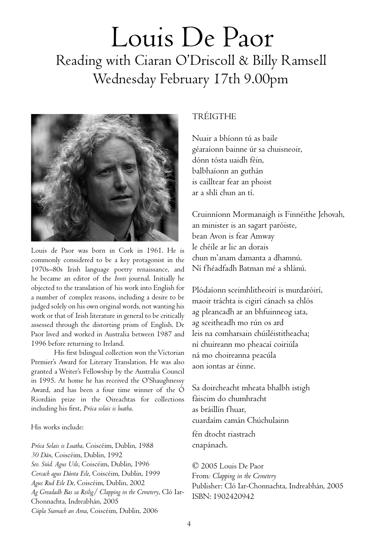## Louis De Paor Reading with Ciaran O'Driscoll & Billy Ramsell Wednesday February 17th 9.00pm



Louis de Paor was born in Cork in 1961. He is commonly considered to be a key protagonist in the 1970s–80s Irish language poetry renaissance, and he became an editor of the *Innti* journal. Initially he objected to the translation of his work into English for a number of complex reasons, including a desire to be judged solely on his own original words, not wanting his work or that of Irish literature in general to be critically assessed through the distorting prism of English. De Paor lived and worked in Australia between 1987 and 1996 before returning to Ireland.

His first bilingual collection won the Victorian Premier's Award for Literary Translation. He was also granted a Writer's Fellowship by the Australia Council in 1995. At home he has received the O'Shaughnessy Award, and has been a four time winner of the Ó Riordáin prize in the Oireachtas for collections including his first, *Próca solais is luatha*.

#### His works include:

*Próca Solais is Luatha*, Coiscéim, Dublin, 1988 *30 Dán*, Coiscéim, Dublin, 1992 *Seo. Siúd. Agus Uile*, Coiscéim, Dublin, 1996 *Corcach agus Dánta Eile*, Coiscéim, Dublin, 1999 *Agus Rud Eile De*, Coiscéim, Dublin, 2002 *Ag Greadadh Bas sa Reilig/ Clapping in the Cemetery*, Cló Iar-Chonnachta, Indreabhán, 2005 *Cúpla Siamach an Ama*, Coiscéim, Dublin, 2006

#### TRÉIGTHE

Nuair a bhíonn tú as baile géaraíonn bainne úr sa chuisneoir, dónn tósta uaidh féin, balbhaíonn an guthán is cailltear fear an phoist ar a shlí chun an tí.

Cruinníonn Mormanaigh is Finnéithe Jehovah, an minister is an sagart paróiste, bean Avon is fear Amway le chéile ar lic an dorais chun m'anam damanta a dhamnú. Ní fhéadfadh Batman mé a shlánú.

Plódaíonn sceimhlitheoirí is murdaróirí, maoir tráchta is cigirí cánach sa chlós ag pleancadh ar an bhfuinneog iata, ag sceitheadh mo rún os ard leis na comharsain chúiléistitheacha; ní chuireann mo pheacaí coiriúla ná mo choireanna peacúla aon iontas ar éinne.

Sa doircheacht mheata bhalbh istigh fáiscim do chumhracht as bráillín fhuar, cuardaím camán Chúchulainn fén dtocht riastrach

cnapánach.

© 2005 Louis De Paor From*: Clapping in the Cemetery* Publisher: Cló Iar-Chonnachta, Indreabhán, 2005 ISBN: 1902420942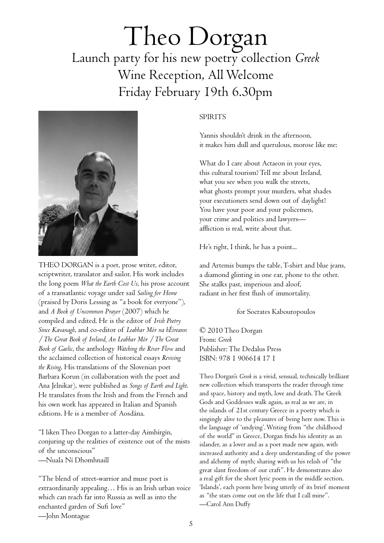# Theo Dorgan Launch party for his new poetry collection *Greek* Wine Reception, All Welcome Friday February 19th 6.30pm



THEO DORGAN is a poet, prose writer, editor, scriptwriter, translator and sailor. His work includes the long poem *What the Earth Cost Us*, his prose account of a transatlantic voyage under sail *Sailing for Home* (praised by Doris Lessing as "a book for everyone"), and *A Book of Uncommon Prayer* (2007) which he compiled and edited. He is the editor of *Irish Poetry Since Kavanagh*, and co-editor of *Leabhar Mór na hÉireann / The Great Book of Ireland, An Leabhar Mór / The Great Book of Gaelic*, the anthology *Watching the River Flow* and the acclaimed collection of historical essays *Revising the Rising*. His translations of the Slovenian poet Barbara Korun (in collaboration with the poet and Ana Jelnikar), were published as *Songs of Earth and Light*. He translates from the Irish and from the French and his own work has appeared in Italian and Spanish editions. He is a member of Aosdána.

"I liken Theo Dorgan to a latter-day Aimhírgín, conjuring up the realities of existence out of the mists of the unconscious"

—Nuala Ní Dhomhnaill

"The blend of street-warrior and muse poet is extraordinarily appealing… His is an Irish urban voice which can reach far into Russia as well as into the enchanted garden of Sufi love" —John Montague

#### SPIRITS

Yannis shouldn't drink in the afternoon, it makes him dull and querulous, morose like me:

What do I care about Actaeon in your eyes, this cultural tourism? Tell me about Ireland, what you see when you walk the streets, what ghosts prompt your murders, what shades your executioners send down out of daylight? You have your poor and your policemen, your crime and politics and lawyers affliction is real, write about that.

He's right, I think, he has a point...

and Artemis bumps the table, T-shirt and blue jeans, a diamond glinting in one ear, phone to the other. She stalks past, imperious and aloof, radiant in her first flush of immortality.

for Socrates Kabouropoulos

© 2010 Theo Dorgan From: *Greek* Publisher: The Dedalus Press ISBN: 978 1 906614 17 1

Theo Dorgan's *Greek* is a vivid, sensual, technically brilliant new collection which transports the reader through time and space, history and myth, love and death. The Greek Gods and Goddesses walk again, as real as we are, in the islands of 21st century Greece in a poetry which is singingly alive to the pleasures of being here now. This is the language of 'undying'. Writing from "the childhood of the world" in Greece, Dorgan finds his identity as an islander, as a lover and as a poet made new again, with increased authority and a deep understanding of the power and alchemy of myth; sharing with us his relish of "the great slant freedom of our craft". He demonstrates also a real gift for the short lyric poem in the middle section, 'Islands', each poem here being utterly of its brief moment as "the stars come out on the life that I call mine". —Carol Ann Duffy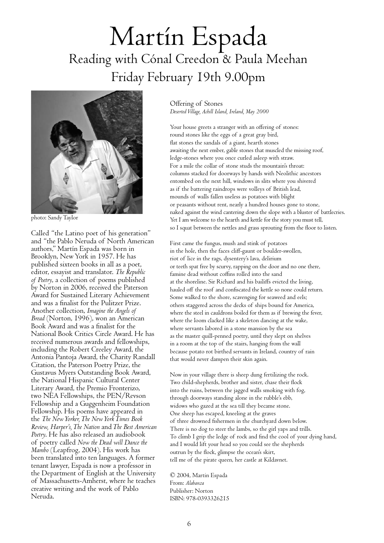### Martín Espada Reading with Cónal Creedon & Paula Meehan Friday February 19th 9.00pm



photo: Sandy Taylor

Called "the Latino poet of his generation" and "the Pablo Neruda of North American authors," Martín Espada was born in Brooklyn, New York in 1957. He has published sixteen books in all as a poet, editor, essayist and translator. *The Republic of Poetry*, a collection of poems published by Norton in 2006, received the Paterson Award for Sustained Literary Achievement and was a finalist for the Pulitzer Prize. Another collection, *Imagine the Angels of Bread* (Norton, 1996), won an American Book Award and was a finalist for the National Book Critics Circle Award. He has received numerous awards and fellowships, including the Robert Creeley Award, the Antonia Pantoja Award, the Charity Randall Citation, the Paterson Poetry Prize, the Gustavus Myers Outstanding Book Award, the National Hispanic Cultural Center Literary Award, the Premio Fronterizo, two NEA Fellowships, the PEN/Revson Fellowship and a Guggenheim Foundation Fellowship. His poems have appeared in the *The New Yorker, The New York Times Book Review, Harper's, The Nation* and *The Best American Poetry*. He has also released an audiobook of poetry called *Now the Dead will Dance the Mambo* (Leapfrog, 2004). His work has been translated into ten languages. A former tenant lawyer, Espada is now a professor in the Department of English at the University of Massachusetts-Amherst, where he teaches creative writing and the work of Pablo Neruda.

Offering of Stones *Deserted Village, Achill Island, Ireland, May 2000*

Your house greets a stranger with an offering of stones: round stones like the eggs of a great gray bird, flat stones the sandals of a giant, hearth stones awaiting the next ember, gable stones that muscled the missing roof, ledge-stones where you once curled asleep with straw. For a mile the collar of stone studs the mountain's throat: columns stacked for doorways by hands with Neolithic ancestors entombed on the next hill, windows in slits where you shivered as if the battering raindrops were volleys of British lead, mounds of walls fallen useless as potatoes with blight or peasants without rent, nearly a hundred houses gone to stone, naked against the wind cantering down the slope with a bluster of battlecries. Yet I am welcome to the hearth and kettle for the story you must tell, so I squat between the nettles and grass sprouting from the floor to listen.

First came the fungus, mush and stink of potatoes in the hole, then the faces cliff-gaunt or boulder-swollen, riot of lice in the rags, dysentery's lava, delirium or teeth spat free by scurvy, rapping on the door and no one there, famine dead without coffins rolled into the sand at the shoreline. Sir Richard and his bailiffs evicted the living, hauled off the roof and confiscated the kettle so none could return. Some walked to the shore, scavenging for seaweed and eels; others staggered across the decks of ships bound for America, where the steel in cauldrons boiled for them as if brewing the fever, where the loom clacked like a skeleton dancing at the wake, where servants labored in a stone mansion by the sea as the master quill-penned poetry, until they slept on shelves in a room at the top of the stairs, hanging from the wall because potato rot birthed servants in Ireland, country of rain that would never dampen their skin again.

Now in your village there is sheep dung fertilizing the rock. Two child-shepherds, brother and sister, chase their flock into the ruins, between the jagged walls smoking with fog, through doorways standing alone in the rubble's ebb, widows who gazed at the sea till they became stone. One sheep has escaped, kneeling at the graves of three drowned fishermen in the churchyard down below. There is no dog to steer the lambs, so the girl yaps and trills. To climb I grip the ledge of rock and find the cool of your dying hand, and I would lift your head so you could see the shepherds outrun by the flock, glimpse the ocean's skirt, tell me of the pirate queen, her castle at Kildavnet.

© 2004, Martin Espada From: *Alabanza* Publisher: Norton ISBN: 978-0393326215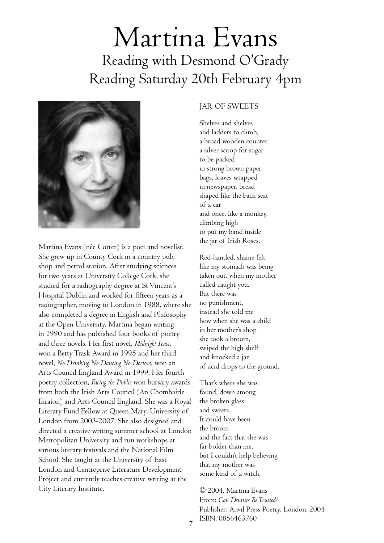## Martina Evans Reading with Desmond O'Grady Reading Saturday 20th February 4pm



Martina Evans (née Cotter) is a poet and novelist. She grew up in County Cork in a country pub, shop and petrol station. After studying sciences for two years at University College Cork, she studied for a radiography degree at St Vincent's Hospital Dublin and worked for fifteen years as a radiographer, moving to London in 1988, where she also completed a degree in English and Philosophy at the Open University. Martina began writing in 1990 and has published four books of poetry and three novels. Her first novel, *Midnight Feast*, won a Betty Trask Award in 1995 and her third novel, *No Drinking No Dancing No Doctors*, won an Arts Council England Award in 1999. Her fourth poetry collection, *Facing the Public* won bursary awards from both the Irish Arts Council (An Chomhairle Eiraíon) and Arts Council England. She was a Royal Literary Fund Fellow at Queen Mary, University of London from 2003-2007. She also designed and directed a creative writing summer school at London Metropolitan University and run workshops at various literary festivals and the National Film School. She taught at the University of East London and Centreprise Literature Development Project and currently teaches creative writing at the City Literary Institute.

#### JAR OF SWEETS

Shelves and shelves and ladders to climb, a broad wooden counter, a silver scoop for sugar to be packed in strong brown paper bags, loaves wrapped in newspaper, bread shaped like the back seat of a car and once, like a monkey, climbing high to put my hand inside the jar of Irish Roses.

Red-handed, shame felt like my stomach was being taken out, when my mother called caught you. But there was no punishment, instead she told me how when she was a child in her mother's shop she took a broom, swiped the high shelf and knocked a jar of acid drops to the ground.

That's where she was found, down among the broken glass and sweets. It could have been the broom and the fact that she was far bolder than me, but I couldn't help believing that my mother was some kind of a witch.

© 2004, Martina Evans From: *Can Dentists Be Trusted?* Publisher: Anvil Press Poetry, London, 2004 ISBN: 0856463760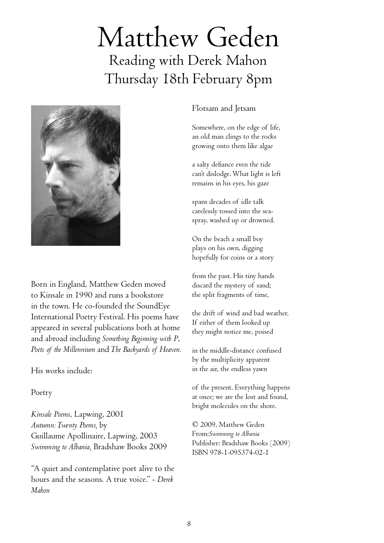# Matthew Geden Reading with Derek Mahon Thursday 18th February 8pm



Born in England, Matthew Geden moved to Kinsale in 1990 and runs a bookstore in the town. He co-founded the SoundEye International Poetry Festival. His poems have appeared in several publications both at home and abroad including *Something Beginning with P*, *Poets of the Millennium* and *The Backyards of Heaven.*

#### His works include:

Poetry

*Kinsale Poems*, Lapwing, 2001 *Autumn: Twenty Poems,* by Guillaume Apollinaire, Lapwing, 2003 *Swimming to Albania,* Bradshaw Books 2009

"A quiet and contemplative poet alive to the hours and the seasons. A true voice." - *Derek Mahon*

#### Flotsam and Jetsam

Somewhere, on the edge of life, an old man clings to the rocks growing onto them like algae

a salty defiance even the tide can't dislodge. What light is left remains in his eyes, his gaze

spans decades of idle talk carelessly tossed into the seaspray, washed up or drowned.

On the beach a small boy plays on his own, digging hopefully for coins or a story

from the past. His tiny hands discard the mystery of sand; the split fragments of time,

the drift of wind and bad weather. If either of them looked up they might notice me, poised

in the middle-distance confused by the multiplicity apparent in the air, the endless yawn

of the present. Everything happens at once; we are the lost and found, bright molecules on the shore.

© 2009, Matthew Geden From:*Swimming to Albania* Publisher: Bradshaw Books (2009) ISBN 978-1-095374-02-1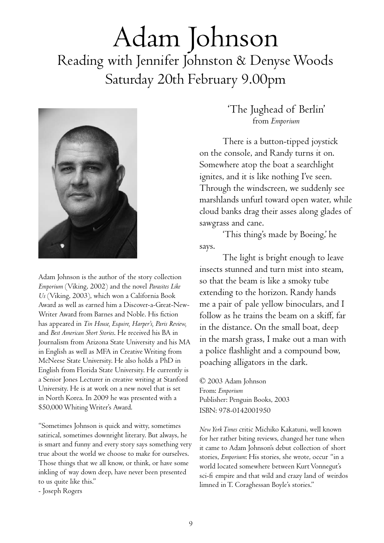## Adam Johnson Reading with Jennifer Johnston & Denyse Woods Saturday 20th February 9.00pm



Adam Johnson is the author of the story collection *Emporium* (Viking, 2002) and the novel *Parasites Like Us* (Viking, 2003), which won a California Book Award as well as earned him a Discover-a-Great-New-Writer Award from Barnes and Noble. His fiction has appeared in *Tin House, Esquire, Harper's, Paris Review,*  and *Best American Short Stories*. He received his BA in Journalism from Arizona State University and his MA in English as well as MFA in Creative Writing from McNeese State University. He also holds a PhD in English from Florida State University. He currently is a Senior Jones Lecturer in creative writing at Stanford University. He is at work on a new novel that is set in North Korea. In 2009 he was presented with a \$50,000 Whiting Writer's Award.

"Sometimes Johnson is quick and witty, sometimes satirical, sometimes downright literary. But always, he is smart and funny and every story says something very true about the world we choose to make for ourselves. Those things that we all know, or think, or have some inkling of way down deep, have never been presented to us quite like this."

- Joseph Rogers

#### 'The Jughead of Berlin' from *Emporium*

There is a button-tipped joystick on the console, and Randy turns it on. Somewhere atop the boat a searchlight ignites, and it is like nothing I've seen. Through the windscreen, we suddenly see marshlands unfurl toward open water, while cloud banks drag their asses along glades of sawgrass and cane.

'This thing's made by Boeing,' he says.

The light is bright enough to leave insects stunned and turn mist into steam, so that the beam is like a smoky tube extending to the horizon. Randy hands me a pair of pale yellow binoculars, and I follow as he trains the beam on a skiff, far in the distance. On the small boat, deep in the marsh grass, I make out a man with a police flashlight and a compound bow, poaching alligators in the dark.

© 2003 Adam Johnson From: *Emporium* Publisher: Penguin Books, 2003 ISBN: 978-0142001950

*New York Times* critic Michiko Kakatuni, well known for her rather biting reviews, changed her tune when it came to Adam Johnson's debut collection of short stories, *Emporium*: His stories, she wrote, occur "in a world located somewhere between Kurt Vonnegut's sci-fi empire and that wild and crazy land of weirdos limned in T. Coraghessan Boyle's stories."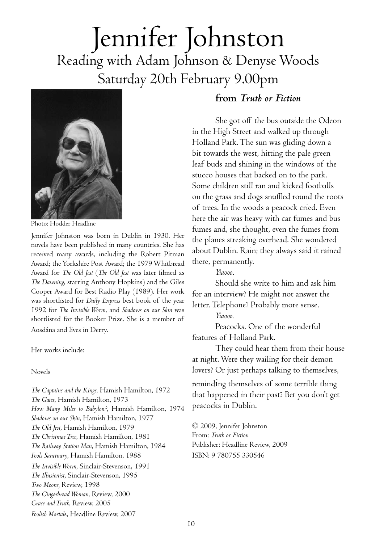## Jennifer Johnston Reading with Adam Johnson & Denyse Woods Saturday 20th February 9.00pm



Photo: Hodder Headline

Jennifer Johnston was born in Dublin in 1930. Her novels have been published in many countries. She has received many awards, including the Robert Pitman Award; the Yorkshire Post Award; the 1979 Whitbread Award for *The Old Jest* (*The Old Jest* was later filmed as *The Dawning*, starring Anthony Hopkins) and the Giles Cooper Award for Best Radio Play (1989). Her work was shortlisted for *Daily Express* best book of the year 1992 for *The Invisible Worm*, and *Shadows on our Skin* was shortlisted for the Booker Prize. She is a member of Aosdána and lives in Derry.

Her works include:

#### Novels

*The Captains and the Kings*, Hamish Hamilton, 1972 *The Gates*, Hamish Hamilton, 1973 *How Many Miles to Babylon?*, Hamish Hamilton, 1974 *Shadows on our Skin*, Hamish Hamilton, 1977 *The Old Jest*, Hamish Hamilton, 1979 *The Christmas Tree*, Hamish Hamilton, 1981 *The Railway Station Man*, Hamish Hamilton, 1984 *Fools Sanctuary*, Hamish Hamilton, 1988 *The Invisible Worm*, Sinclair-Stevenson, 1991 *The Illusionist*, Sinclair-Stevenson, 1995 *Two Moons,* Review, 1998 *The Gingerbread Woman*, Review, 2000 *Grace and Truth*, Review, 2005 *Foolish Mortal*s, Headline Review, 2007

#### **from** *Truth or Fiction*

She got off the bus outside the Odeon in the High Street and walked up through Holland Park. The sun was gliding down a bit towards the west, hitting the pale green leaf buds and shining in the windows of the stucco houses that backed on to the park. Some children still ran and kicked footballs on the grass and dogs snuffled round the roots of trees. In the woods a peacock cried. Even here the air was heavy with car fumes and bus fumes and, she thought, even the fumes from the planes streaking overhead. She wondered about Dublin. Rain; they always said it rained there, permanently.

*Yiaooo*.

Should she write to him and ask him for an interview? He might not answer the letter. Telephone? Probably more sense.

*Yiaooo.*

Peacocks. One of the wonderful features of Holland Park.

They could hear them from their house at night. Were they wailing for their demon lovers? Or just perhaps talking to themselves,

reminding themselves of some terrible thing that happened in their past? Bet you don't get peacocks in Dublin.

© 2009, Jennifer Johnston From: *Truth or Fiction* Publisher: Headline Review, 2009 ISBN: 9 780755 330546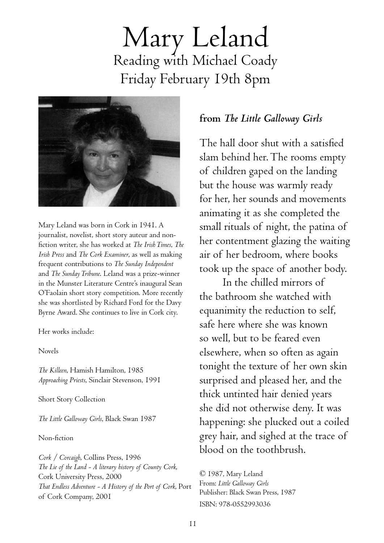### Mary Leland Reading with Michael Coady Friday February 19th 8pm



Mary Leland was born in Cork in 1941. A journalist, novelist, short story auteur and nonfiction writer, she has worked at *The Irish Times*, *The Irish Press* and *The Cork Examiner*, as well as making frequent contributions to *The Sunday Independent*  and *The Sunday Tribune*. Leland was a prize-winner in the Munster Literature Centre's inaugural Sean O'Faolain short story competition. More recently she was shortlisted by Richard Ford for the Davy Byrne Award. She continues to live in Cork city.

Her works include:

Novels

*The Killeen*, Hamish Hamilton, 1985 *Approaching Priests*, Sinclair Stevenson, 1991

Short Story Collection

*The Little Galloway Girls*, Black Swan 1987

Non-fiction

*Cork / Corcaigh*, Collins Press, 1996 *The Lie of the Land - A literary history of County Cork*, Cork University Press, 2000 *That Endless Adventure - A History of the Port of Cork*, Port of Cork Company, 2001

#### **from** *The Little Galloway Girls*

The hall door shut with a satisfied slam behind her. The rooms empty of children gaped on the landing but the house was warmly ready for her, her sounds and movements animating it as she completed the small rituals of night, the patina of her contentment glazing the waiting air of her bedroom, where books took up the space of another body.

In the chilled mirrors of the bathroom she watched with equanimity the reduction to self, safe here where she was known so well, but to be feared even elsewhere, when so often as again tonight the texture of her own skin surprised and pleased her, and the thick untinted hair denied years she did not otherwise deny. It was happening: she plucked out a coiled grey hair, and sighed at the trace of blood on the toothbrush.

© 1987, Mary Leland From: *Little Galloway Girls* Publisher: Black Swan Press, 1987 ISBN: 978-0552993036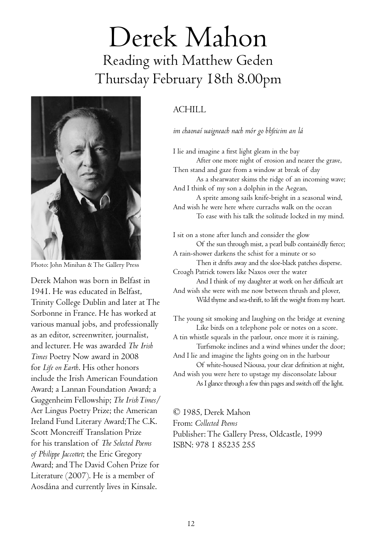## Derek Mahon Reading with Matthew Geden Thursday February 18th 8.00pm



Photo: John Minihan & The Gallery Press

Derek Mahon was born in Belfast in 1941. He was educated in Belfast, Trinity College Dublin and later at The Sorbonne in France. He has worked at various manual jobs, and professionally as an editor, screenwriter, journalist, and lecturer. He was awarded *The Irish Times* Poetry Now award in 2008 for *Life on Earth*. His other honors include the Irish American Foundation Award; a Lannan Foundation Award; a Guggenheim Fellowship; *The Irish Times*/ Aer Lingus Poetry Prize; the American Ireland Fund Literary Award;The C.K. Scott Moncreiff Translation Prize for his translation of *The Selected Poems of Philippe Jaccottet*; the Eric Gregory Award; and The David Cohen Prize for Literature (2007). He is a member of Aosdána and currently lives in Kinsale.

#### ACHILL

#### *im chaonaí uaigneach nach mór go bhfeicim an lá*

I lie and imagine a first light gleam in the bay After one more night of erosion and nearer the grave, Then stand and gaze from a window at break of day

As a shearwater skims the ridge of an incoming wave; And I think of my son a dolphin in the Aegean,

A sprite among sails knife-bright in a seasonal wind, And wish he were here where currachs walk on the ocean To ease with his talk the solitude locked in my mind.

I sit on a stone after lunch and consider the glow

Of the sun through mist, a pearl bulb containédly fierce; A rain-shower darkens the schist for a minute or so

Then it drifts away and the sloe-black patches disperse. Croagh Patrick towers like Naxos over the water

And I think of my daughter at work on her difficult art And wish she were with me now between thrush and plover,

Wild thyme and sea-thrift, to lift the weight from my heart.

The young sit smoking and laughing on the bridge at evening Like birds on a telephone pole or notes on a score.

A tin whistle squeals in the parlour, once more it is raining, Turfsmoke inclines and a wind whines under the door;

And I lie and imagine the lights going on in the harbour Of white-housed Náousa, your clear definition at night, And wish you were here to upstage my disconsolate labour

As I glance through a few thin pages and switch off the light.

© 1985, Derek Mahon From: *Collected Poems* Publisher: The Gallery Press, Oldcastle, 1999 ISBN: 978 1 85235 255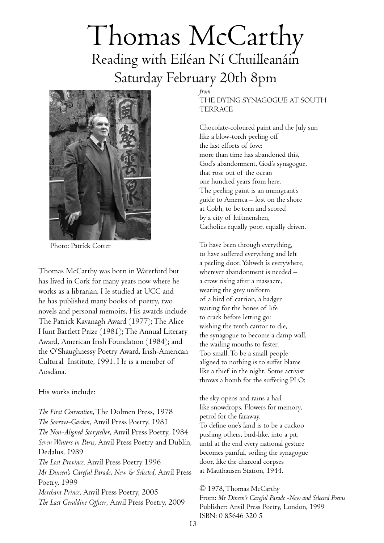## Thomas McCarthy Reading with Eiléan Ní Chuilleanáin Saturday February 20th 8pm



Photo: Patrick Cotter

Thomas McCarthy was born in Waterford but has lived in Cork for many years now where he works as a librarian. He studied at UCC and he has published many books of poetry, two novels and personal memoirs. His awards include The Patrick Kavanagh Award (1977); The Alice Hunt Bartlett Prize (1981); The Annual Literary Award, American Irish Foundation (1984); and the O'Shaughnessy Poetry Award, Irish-American Cultural Institute, 1991. He is a member of Aosdána.

#### His works include:

*The First Convention*, The Dolmen Press, 1978 *The Sorrow-Garden*, Anvil Press Poetry, 1981 *The Non-Aligned Storyteller*, Anvil Press Poetry, 1984 *Seven Winters in Paris*, Anvil Press Poetry and Dublin, Dedalus, 1989 *The Lost Province*, Anvil Press Poetry 1996 *Mr Dineen's Careful Parade*, *New & Selected*, Anvil Press Poetry, 1999 *Merchant Prince*, Anvil Press Poetry, 2005 *The Last Geraldine Officer*, Anvil Press Poetry, 2009

*from* THE DYING SYNAGOGUE AT SOUTH **TERRACE** 

Chocolate-coloured paint and the July sun like a blow-torch peeling off the last efforts of love: more than time has abandoned this, God's abandonment, God's synagogue, that rose out of the ocean one hundred years from here. The peeling paint is an immigrant's guide to America – lost on the shore at Cobh, to be torn and scored by a city of luftmenshen, Catholics equally poor, equally driven.

To have been through everything, to have suffered everything and left a peeling door. Yahweh is everywhere, wherever abandonment is needed – a crow rising after a massacre, wearing the grey uniform of a bird of carrion, a badger waiting for the bones of life to crack before letting go: wishing the tenth cantor to die, the synagogue to become a damp wall, the wailing mouths to fester. Too small. To be a small people aligned to nothing is to suffer blame like a thief in the night. Some activist throws a bomb for the suffering PLO:

the sky opens and rains a hail like snowdrops. Flowers for memory, petrol for the faraway. To define one's land is to be a cuckoo pushing others, bird-like, into a pit, until at the end every national gesture becomes painful, soiling the synagogue door, like the charcoal corpses at Mauthausen Station, 1944.

© 1978, Thomas McCarthy From: *Mr Dineen's Careful Parade -New and Selected Poems* Publisher: Anvil Press Poetry, London, 1999 ISBN: 0 85646 320 5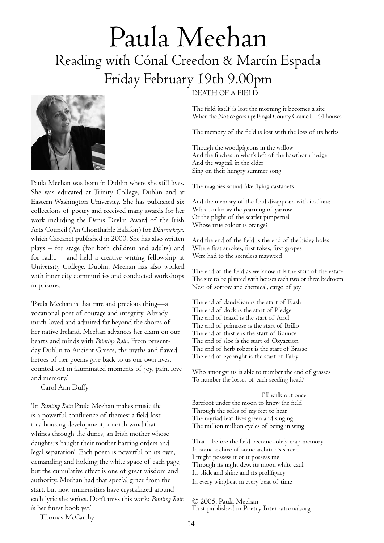# Paula Meehan Reading with Cónal Creedon & Martín Espada Friday February 19th 9.00pm



Paula Meehan was born in Dublin where she still lives. She was educated at Trinity College, Dublin and at Eastern Washington University. She has published six collections of poetry and received many awards for her work including the Denis Devlin Award of the Irish Arts Council (An Chonthairle Ealafon) for *Dharmakaya*, which Carcanet published in 2000. She has also written plays – for stage (for both children and adults) and for radio – and held a creative writing fellowship at University College, Dublin. Meehan has also worked with inner city communities and conducted workshops in prisons.

'Paula Meehan is that rare and precious thing—a vocational poet of courage and integrity. Already much-loved and admired far beyond the shores of her native Ireland, Meehan advances her claim on our hearts and minds with *Painting Rain*. From presentday Dublin to Ancient Greece, the myths and flawed heroes of her poems give back to us our own lives, counted out in illuminated moments of joy, pain, love and memory.'

— Carol Ann Duffy

'In *Painting Rain* Paula Meehan makes music that is a powerful confluence of themes: a field lost to a housing development, a north wind that whines through the dunes, an Irish mother whose daughters 'taught their mother barring orders and legal separation'. Each poem is powerful on its own, demanding and holding the white space of each page, but the cumulative effect is one of great wisdom and authority. Meehan had that special grace from the start, but now immensities have crystallized around each lyric she writes. Don't miss this work: *Painting Rain* is her finest book yet.'

DEATH OF A FIELD

The field itself is lost the morning it becomes a site When the Notice goes up: Fingal County Council – 44 houses

The memory of the field is lost with the loss of its herbs

Though the woodpigeons in the willow And the finches in what's left of the hawthorn hedge And the wagtail in the elder Sing on their hungry summer song

The magpies sound like flying castanets

And the memory of the field disappears with its flora: Who can know the yearning of yarrow Or the plight of the scarlet pimpernel Whose true colour is orange?

And the end of the field is the end of the hidey holes Where first smokes, first tokes, first gropes Were had to the scentless mayweed

The end of the field as we know it is the start of the estate The site to be planted with houses each two or three bedroom Nest of sorrow and chemical, cargo of joy

The end of dandelion is the start of Flash The end of dock is the start of Pledge The end of teazel is the start of Ariel The end of primrose is the start of Brillo The end of thistle is the start of Bounce The end of sloe is the start of Oxyaction The end of herb robert is the start of Brasso The end of eyebright is the start of Fairy

Who amongst us is able to number the end of grasses To number the losses of each seeding head?

 I'll walk out once Barefoot under the moon to know the field Through the soles of my feet to hear The myriad leaf lives green and singing The million million cycles of being in wing

That – before the field become solely map memory In some archive of some architect's screen I might possess it or it possess me Through its night dew, its moon white caul Its slick and shine and its prolifigacy In every wingbeat in every beat of time

© 2005, Paula Meehan First published in Poetry International.org

— Thomas McCarthy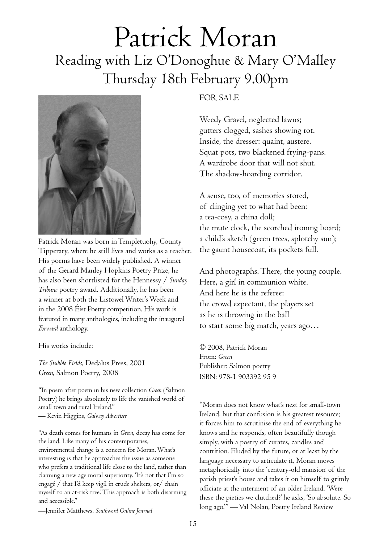## Patrick Moran Reading with Liz O'Donoghue & Mary O'Malley Thursday 18th February 9.00pm



Patrick Moran was born in Templetuohy, County Tipperary, where he still lives and works as a teacher. His poems have been widely published. A winner of the Gerard Manley Hopkins Poetry Prize, he has also been shortlisted for the Hennessy / *Sunday Tribune* poetry award. Additionally, he has been a winner at both the Listowel Writer's Week and in the 2008 Éist Poetry competition. His work is featured in many anthologies, including the inaugural *Forward* anthology.

His works include:

*The Stubble Fields*, Dedalus Press, 2001 *Green*, Salmon Poetry, 2008

"In poem after poem in his new collection *Green* (Salmon Poetry) he brings absolutely to life the vanished world of small town and rural Ireland." — Kevin Higgins, *Galway Advertiser*

"As death comes for humans in *Green*, decay has come for the land. Like many of his contemporaries, environmental change is a concern for Moran. What's interesting is that he approaches the issue as someone who prefers a traditional life close to the land, rather than claiming a new age moral superiority. 'It's not that I'm so engagé / that I'd keep vigil in crude shelters, or/ chain myself to an at-risk tree.' This approach is both disarming and accessible."

—Jennifer Matthews, *Southword Online Journal*

#### FOR SALE

Weedy Gravel, neglected lawns; gutters clogged, sashes showing rot. Inside, the dresser: quaint, austere. Squat pots, two blackened frying-pans. A wardrobe door that will not shut. The shadow-hoarding corridor.

A sense, too, of memories stored, of clinging yet to what had been: a tea-cosy, a china doll; the mute clock, the scorched ironing board; a child's sketch (green trees, splotchy sun); the gaunt housecoat, its pockets full.

And photographs. There, the young couple. Here, a girl in communion white. And here he is the referee: the crowd expectant, the players set as he is throwing in the ball to start some big match, years ago…

© 2008, Patrick Moran From: *Green* Publisher: Salmon poetry ISBN: 978-1 903392 95 9

"Moran does not know what's next for small-town Ireland, but that confusion is his greatest resource; it forces him to scrutinise the end of everything he knows and he responds, often beautifully though simply, with a poetry of curates, candles and contrition. Eluded by the future, or at least by the language necessary to articulate it, Moran moves metaphorically into the 'century-old mansion' of the parish priest's house and takes it on himself to grimly officiate at the interment of an older Ireland. 'Were these the pieties we clutched?' he asks, 'So absolute. So long ago.'" — Val Nolan, Poetry Ireland Review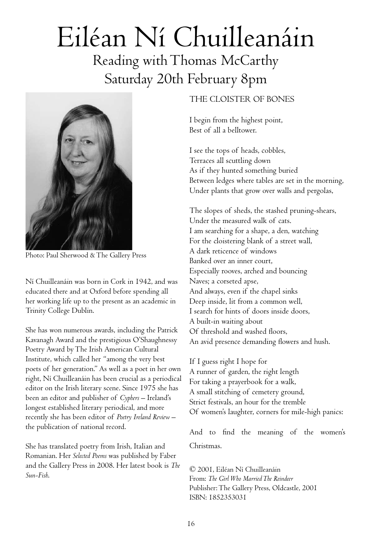# Eiléan Ní Chuilleanáin Reading with Thomas McCarthy Saturday 20th February 8pm



Photo: Paul Sherwood & The Gallery Press

Ní Chuilleanáin was born in Cork in 1942, and was educated there and at Oxford before spending all her working life up to the present as an academic in Trinity College Dublin.

She has won numerous awards, including the Patrick Kavanagh Award and the prestigious O'Shaughnessy Poetry Award by The Irish American Cultural Institute, which called her "among the very best poets of her generation." As well as a poet in her own right, Ní Chuilleanáin has been crucial as a periodical editor on the Irish literary scene. Since 1975 she has been an editor and publisher of *Cyphers* – Ireland's longest established literary periodical, and more recently she has been editor of *Poetry Ireland Review* – the publication of national record.

She has translated poetry from Irish, Italian and Romanian. Her *Selected Poems* was published by Faber and the Gallery Press in 2008. Her latest book is *The Sun-Fish*.

#### THE CLOISTER OF BONES

I begin from the highest point, Best of all a belltower.

I see the tops of heads, cobbles, Terraces all scuttling down As if they hunted something buried Between ledges where tables are set in the morning, Under plants that grow over walls and pergolas,

The slopes of sheds, the stashed pruning-shears, Under the measured walk of cats. I am searching for a shape, a den, watching For the cloistering blank of a street wall, A dark reticence of windows Banked over an inner court, Especially rooves, arched and bouncing Naves; a corseted apse, And always, even if the chapel sinks Deep inside, lit from a common well, I search for hints of doors inside doors, A built-in waiting about Of threshold and washed floors, An avid presence demanding flowers and hush.

If I guess right I hope for A runner of garden, the right length For taking a prayerbook for a walk, A small stitching of cemetery ground, Strict festivals, an hour for the tremble Of women's laughter, corners for mile-high panics:

And to find the meaning of the women's Christmas.

© 2001, Eiléan Ní Chuilleanáin From: *The Girl Who Married The Reindeer* Publisher: The Gallery Press, Oldcastle, 2001 ISBN: 1852353031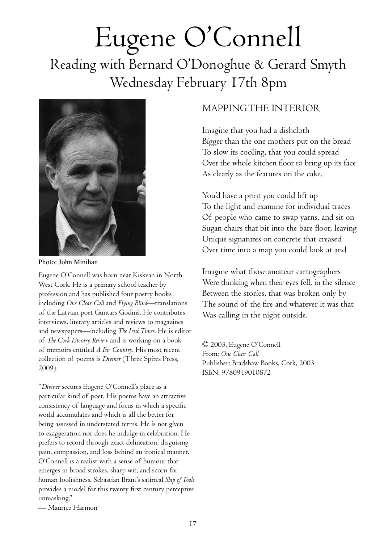# Eugene O'Connell Reading with Bernard O'Donoghue & Gerard Smyth Wednesday February 17th 8pm



Photo: John Minihan

Eugene O'Connell was born near Kiskean in North West Cork. He is a primary school teacher by profession and has published four poetry books including *One Clear Call* and *Flying Blind*—translations of the Latvian poet Guntars Godinš. He contributes interviews, literary articles and reviews to magazines and newspapers—including *The Irish Times*. He is editor of *The Cork Literary Review* and is working on a book of memoirs entitled *A Far Country*. His most recent collection of poems is *Diviner* (Three Spires Press, 2009).

"*Diviner* secures Eugene O'Connell's place as a particular kind of poet. His poems have an attractive consistency of language and focus in which a specific world accumulates and which is all the better for being assessed in understated terms. He is not given to exaggeration nor does he indulge in celebration. He prefers to record through exact delineation, disguising pain, compassion, and loss behind an ironical manner. O'Connell is a realist with a sense of humour that emerges in broad strokes, sharp wit, and scorn for human foolishness. Sebastian Brant's satirical *Ship of Fools* provides a model for this twenty first century perceptive unmasking."

— Maurice Harmon

#### MAPPING THE INTERIOR

Imagine that you had a dishcloth Bigger than the one mothers put on the bread To slow its cooling, that you could spread Over the whole kitchen floor to bring up its face As clearly as the features on the cake.

You'd have a print you could lift up To the light and examine for individual traces Of people who came to swap yarns, and sit on Sugan chairs that bit into the bare floor, leaving Unique signatures on concrete that creased Over time into a map you could look at and

Imagine what those amateur cartographers Were thinking when their eyes fell, in the silence Between the stories, that was broken only by The sound of the fire and whatever it was that Was calling in the night outside.

© 2003, Eugene O'Connell From: *One Clear Call* Publisher: Bradshaw Books, Cork, 2003 ISBN: 9780949010872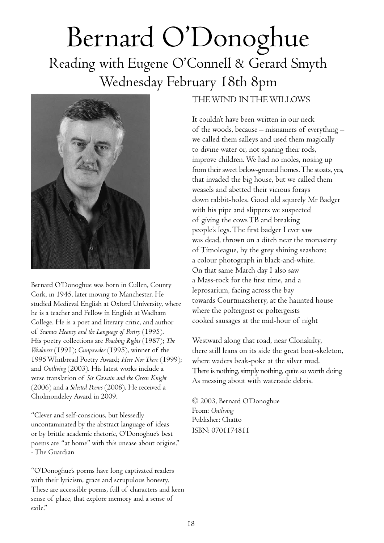# Bernard O'Donoghue Reading with Eugene O'Connell & Gerard Smyth Wednesday February 18th 8pm



Bernard O'Donoghue was born in Cullen, County Cork, in 1945, later moving to Manchester. He studied Medieval English at Oxford University, where he is a teacher and Fellow in English at Wadham College. He is a poet and literary critic, and author of *Seamus Heaney and the Language of Poetry* (1995). His poetry collections are *Poaching Rights* (1987); *The Weakness* (1991); *Gunpowder* (1995), winner of the 1995 Whitbread Poetry Award; *Here Nor There* (1999); and *Outliving* (2003). His latest works include a verse translation of *Sir Gawain and the Green Knight* (2006) and a *Selected Poems* (2008). He received a Cholmondeley Award in 2009.

"Clever and self-conscious, but blessedly uncontaminated by the abstract language of ideas or by brittle academic rhetoric, O'Donoghue's best poems are "at home" with this unease about origins." - The Guardian

"O'Donoghue's poems have long captivated readers with their lyricism, grace and scrupulous honesty. These are accessible poems, full of characters and keen sense of place, that explore memory and a sense of exile."

#### THE WIND IN THE WILLOWS

It couldn't have been written in our neck of the woods, because – misnamers of everything – we called them salleys and used them magically to divine water or, not sparing their rods, improve children. We had no moles, nosing up from their sweet below-ground homes. The stoats, yes, that invaded the big house, but we called them weasels and abetted their vicious forays down rabbit-holes. Good old squirely Mr Badger with his pipe and slippers we suspected of giving the cows TB and breaking people's legs. The first badger I ever saw was dead, thrown on a ditch near the monastery of Timoleague, by the grey shining seashore: a colour photograph in black-and-white. On that same March day I also saw a Mass-rock for the first time, and a leprosarium, facing across the bay towards Courtmacsherry, at the haunted house where the poltergeist or poltergeists cooked sausages at the mid-hour of night

Westward along that road, near Clonakilty, there still leans on its side the great boat-skeleton, where waders beak-poke at the silver mud. There is nothing, simply nothing, quite so worth doing As messing about with waterside debris.

© 2003, Bernard O'Donoghue From: *Outliving* Publisher: Chatto ISBN: 0701174811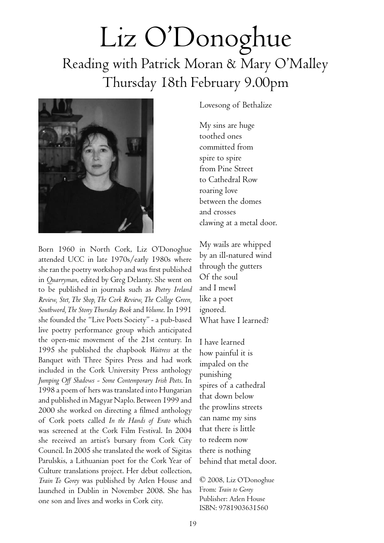# Liz O'Donoghue Reading with Patrick Moran & Mary O'Malley Thursday 18th February 9.00pm



Born 1960 in North Cork, Liz O'Donoghue attended UCC in late 1970s/early 1980s where she ran the poetry workshop and was first published in *Quarryman*, edited by Greg Delanty. She went on to be published in journals such as *Poetry Ireland Review, Stet, The Shop, The Cork Review, The College Green, Southword, The Stony Thursday Book* and *Volume*. In 1991 she founded the "Live Poets Society" - a pub-based live poetry performance group which anticipated the open-mic movement of the 21st century. In 1995 she published the chapbook *Waitress* at the Banquet with Three Spires Press and had work included in the Cork University Press anthology *Jumping Off Shadows - Some Contemporary Irish Poets*. In 1998 a poem of hers was translated into Hungarian and published in Magyar Naplo. Between 1999 and 2000 she worked on directing a filmed anthology of Cork poets called *In the Hands of Erato* which was screened at the Cork Film Festival. In 2004 she received an artist's bursary from Cork City Council. In 2005 she translated the work of Sigitas Parulskis, a Lithuanian poet for the Cork Year of Culture translations project. Her debut collection, *Train To Gorey* was published by Arlen House and launched in Dublin in November 2008. She has one son and lives and works in Cork city.

Lovesong of Bethalize

My sins are huge toothed ones committed from spire to spire from Pine Street to Cathedral Row roaring love between the domes and crosses clawing at a metal door.

My wails are whipped by an ill-natured wind through the gutters Of the soul and I mewl like a poet ignored. What have I learned?

I have learned how painful it is impaled on the punishing spires of a cathedral that down below the prowlins streets can name my sins that there is little to redeem now there is nothing behind that metal door.

© 2008, Liz O'Donoghue From: *Train to Gorey* Publisher: Arlen House ISBN: 9781903631560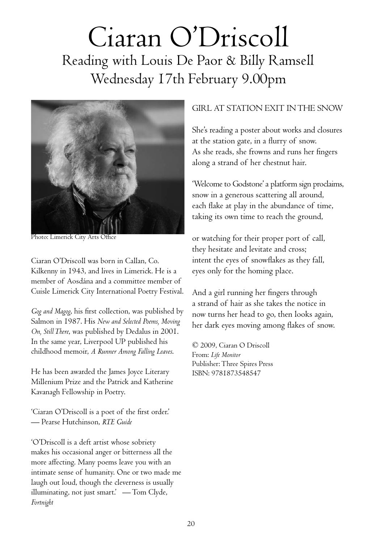# Ciaran O'Driscoll Reading with Louis De Paor & Billy Ramsell Wednesday 17th February 9.00pm



Photo: Limerick City Arts Office

Ciaran O'Driscoll was born in Callan, Co. Kilkenny in 1943, and lives in Limerick. He is a member of Aosdána and a committee member of Cuisle Limerick City International Poetry Festival.

*Gog and Magog*, his first collection, was published by Salmon in 1987. His *New and Selected Poems, Moving On, Still There*, was published by Dedalus in 2001. In the same year, Liverpool UP published his childhood memoir, *A Runner Among Falling Leaves*.

He has been awarded the James Joyce Literary Millenium Prize and the Patrick and Katherine Kavanagh Fellowship in Poetry.

'Ciaran O'Driscoll is a poet of the first order.' — Pearse Hutchinson, *RTE Guide*

'O'Driscoll is a deft artist whose sobriety makes his occasional anger or bitterness all the more affecting. Many poems leave you with an intimate sense of humanity. One or two made me laugh out loud, though the cleverness is usually illuminating, not just smart.' — Tom Clyde, *Fortnight*

#### GIRL AT STATION EXIT IN THE SNOW

She's reading a poster about works and closures at the station gate, in a flurry of snow. As she reads, she frowns and runs her fingers along a strand of her chestnut hair.

'Welcome to Godstone' a platform sign proclaims, snow in a generous scattering all around, each flake at play in the abundance of time, taking its own time to reach the ground,

or watching for their proper port of call, they hesitate and levitate and cross; intent the eyes of snowflakes as they fall, eyes only for the homing place.

And a girl running her fingers through a strand of hair as she takes the notice in now turns her head to go, then looks again, her dark eyes moving among flakes of snow.

© 2009, Ciaran O Driscoll From: *Life Monitor* Publisher: Three Spires Press ISBN: 9781873548547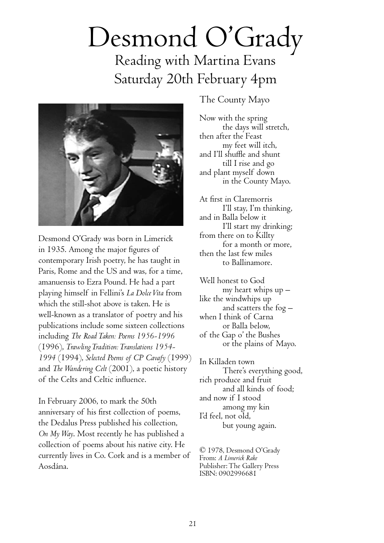# Desmond O'Grady<br>Reading with Martina Evans Saturday 20th February 4pm



Desmond O'Grady was born in Limerick in 1935. Among the major figures of contemporary Irish poetry, he has taught in Paris, Rome and the US and was, for a time, amanuensis to Ezra Pound. He had a part playing himself in Fellini's *La Dolce Vita* from which the still-shot above is taken. He is well-known as a translator of poetry and his publications include some sixteen collections including *The Road Taken: Poems 1956-1996*  (1996), *Trawling Tradition: Translations 1954- 1994* (1994), *Selected Poems of CP Cavafy* (1999) and *The Wandering Celt* (2001), a poetic history of the Celts and Celtic influence.

In February 2006, to mark the 50th anniversary of his first collection of poems, the Dedalus Press published his collection, *On My Way*. Most recently he has published a collection of poems about his native city. He currently lives in Co. Cork and is a member of Aosdána.

The County Mayo

Now with the spring the days will stretch, then after the Feast my feet will itch, and I'll shuffle and shunt till I rise and go and plant myself down in the County Mayo.

At first in Claremorris I'll stay, I'm thinking, and in Balla below it I'll start my drinking; from there on to Killty for a month or more, then the last few miles to Ballinamore.

Well honest to God my heart whips up – like the windwhips up and scatters the fog – when I think of Carna or Balla below, of the Gap o' the Bushes or the plains of Mayo.

In Killaden town There's everything good, rich produce and fruit and all kinds of food; and now if I stood among my kin I'd feel, not old, but young again.

© 1978, Desmond O'Grady From: *A Limerick Rake* Publisher: The Gallery Press ISBN: 0902996681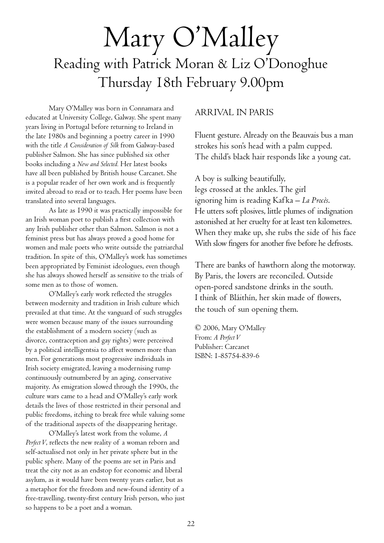# Mary O'Malley Reading with Patrick Moran & Liz O'Donoghue Thursday 18th February 9.00pm

Mary O'Malley was born in Connamara and educated at University College, Galway. She spent many years living in Portugal before returning to Ireland in the late 1980s and beginning a poetry career in 1990 with the title *A Consideration of Silk* from Galway-based publisher Salmon. She has since published six other books including a *New and Selected.* Her latest books have all been published by British house Carcanet. She is a popular reader of her own work and is frequently invited abroad to read or to teach. Her poems have been translated into several languages.

As late as 1990 it was practically impossible for an Irish woman poet to publish a first collection with any Irish publisher other than Salmon. Salmon is not a feminist press but has always proved a good home for women and male poets who write outside the patriarchal tradition. In spite of this, O'Malley's work has sometimes been appropriated by Feminist ideologues, even though she has always showed herself as sensitive to the trials of some men as to those of women.

O'Malley's early work reflected the struggles between modernity and tradition in Irish culture which prevailed at that time. At the vanguard of such struggles were women because many of the issues surrounding the establishment of a modern society (such as divorce, contraception and gay rights) were perceived by a political intelligentsia to affect women more than men. For generations most progressive individuals in Irish society emigrated, leaving a modernising rump continuously outnumbered by an aging, conservative majority. As emigration slowed through the 1990s, the culture wars came to a head and O'Malley's early work details the lives of those restricted in their personal and public freedoms, itching to break free while valuing some of the traditional aspects of the disappearing heritage.

O'Malley's latest work from the volume, *A Perfect V*, reflects the new reality of a woman reborn and self-actualised not only in her private sphere but in the public sphere. Many of the poems are set in Paris and treat the city not as an endstop for economic and liberal asylum, as it would have been twenty years earlier, but as a metaphor for the freedom and new-found identity of a free-travelling, twenty-first century Irish person, who just so happens to be a poet and a woman.

#### ARRIVAL IN PARIS

Fluent gesture. Already on the Beauvais bus a man strokes his son's head with a palm cupped. The child's black hair responds like a young cat.

A boy is sulking beautifully, legs crossed at the ankles. The girl ignoring him is reading Kafka – *La Procès*. He utters soft plosives, little plumes of indignation astonished at her cruelty for at least ten kilometres. When they make up, she rubs the side of his face With slow fingers for another five before he defrosts.

There are banks of hawthorn along the motorway. By Paris, the lovers are reconciled. Outside open-pored sandstone drinks in the south. I think of Bláithín, her skin made of flowers, the touch of sun opening them.

© 2006, Mary O'Malley From: *A Perfect V* Publisher: Carcanet ISBN: 1-85754-839-6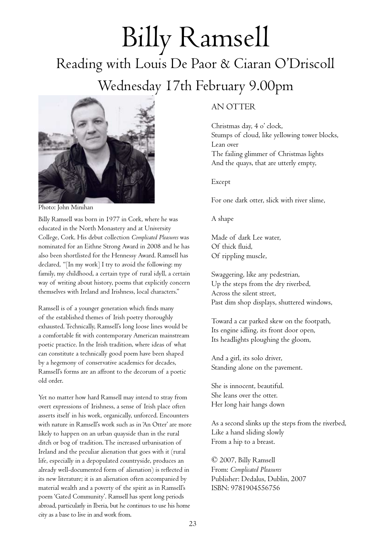# Billy Ramsell Reading with Louis De Paor & Ciaran O'Driscoll Wednesday 17th February 9.00pm



Photo: John Minihan

Billy Ramsell was born in 1977 in Cork, where he was educated in the North Monastery and at University College, Cork. His debut collection *Complicated Pleasures* was nominated for an Eithne Strong Award in 2008 and he has also been shortlisted for the Hennessy Award. Ramsell has declared, "[In my work] I try to avoid the following: my family, my childhood, a certain type of rural idyll, a certain way of writing about history, poems that explicitly concern themselves with Ireland and Irishness, local characters."

Ramsell is of a younger generation which finds many of the established themes of Irish poetry thoroughly exhausted. Technically, Ramsell's long loose lines would be a comfortable fit with contemporary American mainstream poetic practice. In the Irish tradition, where ideas of what can constitute a technically good poem have been shaped by a hegemony of conservative academics for decades, Ramsell's forms are an affront to the decorum of a poetic old order.

Yet no matter how hard Ramsell may intend to stray from overt expressions of Irishness, a sense of Irish place often asserts itself in his work, organically, unforced. Encounters with nature in Ramsell's work such as in 'An Otter' are more likely to happen on an urban quayside than in the rural ditch or bog of tradition. The increased urbanisation of Ireland and the peculiar alienation that goes with it (rural life, especially in a depopulated countryside, produces an already well-documented form of alienation) is reflected in its new literature; it is an alienation often accompanied by material wealth and a poverty of the spirit as in Ramsell's poem 'Gated Community'. Ramsell has spent long periods abroad, particularly in Iberia, but he continues to use his home city as a base to live in and work from.

#### AN OTTER

Christmas day, 4 o' clock, Stumps of cloud, like yellowing tower blocks, Lean over The failing glimmer of Christmas lights And the quays, that are utterly empty,

Except

For one dark otter, slick with river slime,

A shape

Made of dark Lee water, Of thick fluid, Of rippling muscle,

Swaggering, like any pedestrian, Up the steps from the dry riverbed, Across the silent street, Past dim shop displays, shuttered windows,

Toward a car parked skew on the footpath, Its engine idling, its front door open, Its headlights ploughing the gloom,

And a girl, its solo driver, Standing alone on the pavement.

She is innocent, beautiful. She leans over the otter. Her long hair hangs down

As a second slinks up the steps from the riverbed, Like a hand sliding slowly From a hip to a breast.

© 2007, Billy Ramsell From: *Complicated Pleasures* Publisher: Dedalus, Dublin, 2007 ISBN: 9781904556756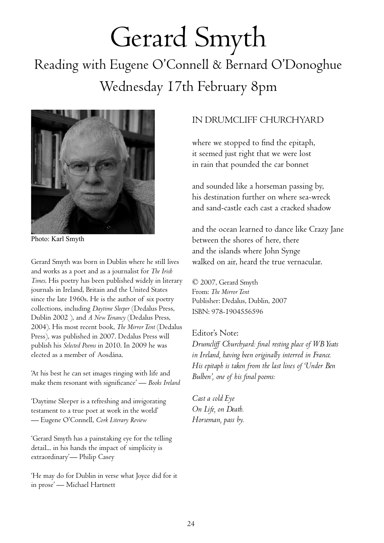# Gerard Smyth Reading with Eugene O'Connell & Bernard O'Donoghue Wednesday 17th February 8pm



Photo: Karl Smyth

Gerard Smyth was born in Dublin where he still lives and works as a poet and as a journalist for *The Irish Times*. His poetry has been published widely in literary journals in Ireland, Britain and the United States since the late 1960s. He is the author of six poetry collections, including *Daytime Sleeper* (Dedalus Press, Dublin 2002 ), and *A New Tenancy* (Dedalus Press, 2004). His most recent book, *The Mirror Tent* (Dedalus Press), was published in 2007. Dedalus Press will publish his *Selected Poems* in 2010. In 2009 he was elected as a member of Aosdána.

'At his best he can set images ringing with life and make them resonant with significance' — *Books Ireland*

'Daytime Sleeper is a refreshing and invigorating testament to a true poet at work in the world' — Eugene O'Connell, *Cork Literary Review*

'Gerard Smyth has a painstaking eye for the telling detail... in his hands the impact of simplicity is extraordinary'— Philip Casey

'He may do for Dublin in verse what Joyce did for it in prose' — Michael Hartnett

#### IN DRUMCLIFF CHURCHYARD

where we stopped to find the epitaph, it seemed just right that we were lost in rain that pounded the car bonnet

and sounded like a horseman passing by, his destination further on where sea-wreck and sand-castle each cast a cracked shadow

and the ocean learned to dance like Crazy Jane between the shores of here, there and the islands where John Synge walked on air, heard the true vernacular.

© 2007, Gerard Smyth From: *The Mirror Tent* Publisher: Dedalus, Dublin, 2007 ISBN: 978-1904556596

#### Editor's Note:

*Drumcliff Churchyard: final resting place of WB Yeats in Ireland, having been originally interred in France. His epitaph is taken from the last lines of 'Under Ben Bulben', one of his final poems:*

*Cast a cold Eye On Life, on Death. Horseman, pass by.*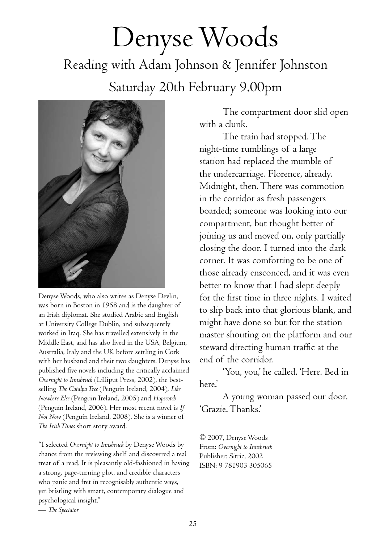# Denyse Woods Reading with Adam Johnson & Jennifer Johnston Saturday 20th February 9.00pm



Denyse Woods, who also writes as Denyse Devlin, was born in Boston in 1958 and is the daughter of an Irish diplomat. She studied Arabic and English at University College Dublin, and subsequently worked in Iraq. She has travelled extensively in the Middle East, and has also lived in the USA, Belgium, Australia, Italy and the UK before settling in Cork with her husband and their two daughters. Denyse has published five novels including the critically acclaimed *Overnight to Innsbruck* (Lilliput Press, 2002), the bestselling *The Catalpa Tree* (Penguin Ireland, 2004), *Like Nowhere Else* (Penguin Ireland, 2005) and *Hopscotch* (Penguin Ireland, 2006). Her most recent novel is *If Not Now* (Penguin Ireland, 2008). She is a winner of *The Irish Times* short story award.

"I selected *Overnight to Innsbruck* by Denyse Woods by chance from the reviewing shelf and discovered a real treat of a read. It is pleasantly old-fashioned in having a strong, page-turning plot, and credible characters who panic and fret in recognisably authentic ways, yet bristling with smart, contemporary dialogue and psychological insight."

The compartment door slid open with a clunk.

The train had stopped. The night-time rumblings of a large station had replaced the mumble of the undercarriage. Florence, already. Midnight, then. There was commotion in the corridor as fresh passengers boarded; someone was looking into our compartment, but thought better of joining us and moved on, only partially closing the door. I turned into the dark corner. It was comforting to be one of those already ensconced, and it was even better to know that I had slept deeply for the first time in three nights. I waited to slip back into that glorious blank, and might have done so but for the station master shouting on the platform and our steward directing human traffic at the end of the corridor.

'You, you,' he called. 'Here. Bed in here.'

A young woman passed our door. 'Grazie. Thanks.'

© 2007, Denyse Woods From: *Overnight to Innsbruck* Publisher: Sitric, 2002 ISBN: 9 781903 305065

— *The Spectator*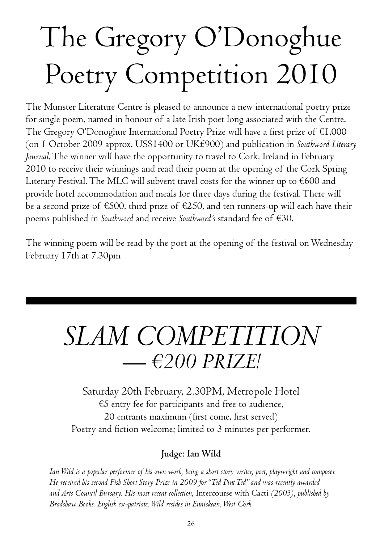# The Gregory O'Donoghue Poetry Competition 2010

The Munster Literature Centre is pleased to announce a new international poetry prize for single poem, named in honour of a late Irish poet long associated with the Centre. The Gregory O'Donoghue International Poetry Prize will have a first prize of  $\epsilon$ I,000 (on 1 October 2009 approx. US\$1400 or UK£900) and publication in *Southword Literary Journal*. The winner will have the opportunity to travel to Cork, Ireland in February 2010 to receive their winnings and read their poem at the opening of the Cork Spring Literary Festival. The MLC will subvent travel costs for the winner up to  $\epsilon$ 600 and provide hotel accommodation and meals for three days during the festival. There will be a second prize of €500, third prize of €250, and ten runners-up will each have their poems published in *Southword* and receive *Southword's* standard fee of €30.

The winning poem will be read by the poet at the opening of the festival on Wednesday February 17th at 7.30pm

# *SLAM COMPETITION — €200 PRIZE!*

Saturday 20th February, 2.30PM, Metropole Hotel €5 entry fee for participants and free to audience, 20 entrants maximum (first come, first served) Poetry and fiction welcome; limited to 3 minutes per performer.

#### **Judge: Ian Wild**

*Ian Wild is a popular performer of his own work, being a short story writer, poet, playwright and composer. He received his second Fish Short Story Prize in 2009 for "Ted Pint Ted" and was recently awarded and Arts Council Bursary. His most recent collection,* Intercourse with Cacti *(2003), published by Bradshaw Books. English ex-patriate, Wild resides in Enniskean, West Cork.*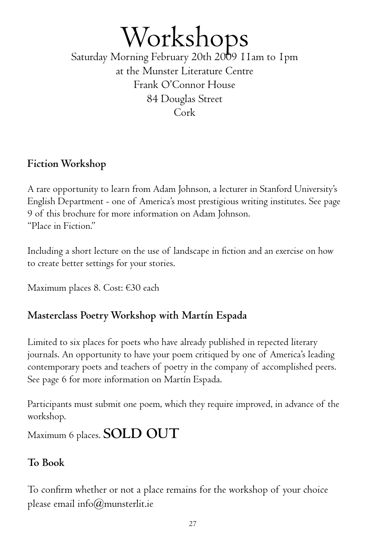# Workshops<br>Saturday Morning February 20th 2009 IIam to Ipm

at the Munster Literature Centre Frank O'Connor House 84 Douglas Street Cork

#### **Fiction Workshop**

A rare opportunity to learn from Adam Johnson, a lecturer in Stanford University's English Department - one of America's most prestigious writing institutes. See page 9 of this brochure for more information on Adam Johnson. "Place in Fiction."

Including a short lecture on the use of landscape in fiction and an exercise on how to create better settings for your stories.

Maximum places 8. Cost: €30 each

#### **Masterclass Poetry Workshop with Martín Espada**

Limited to six places for poets who have already published in repected literary journals. An opportunity to have your poem critiqued by one of America's leading contemporary poets and teachers of poetry in the company of accomplished peers. See page 6 for more information on Martín Espada.

Participants must submit one poem, which they require improved, in advance of the workshop.

Maximum 6 places. **SOLD OUT**

#### **To Book**

To confirm whether or not a place remains for the workshop of your choice please email info $@$ munsterlit.ie